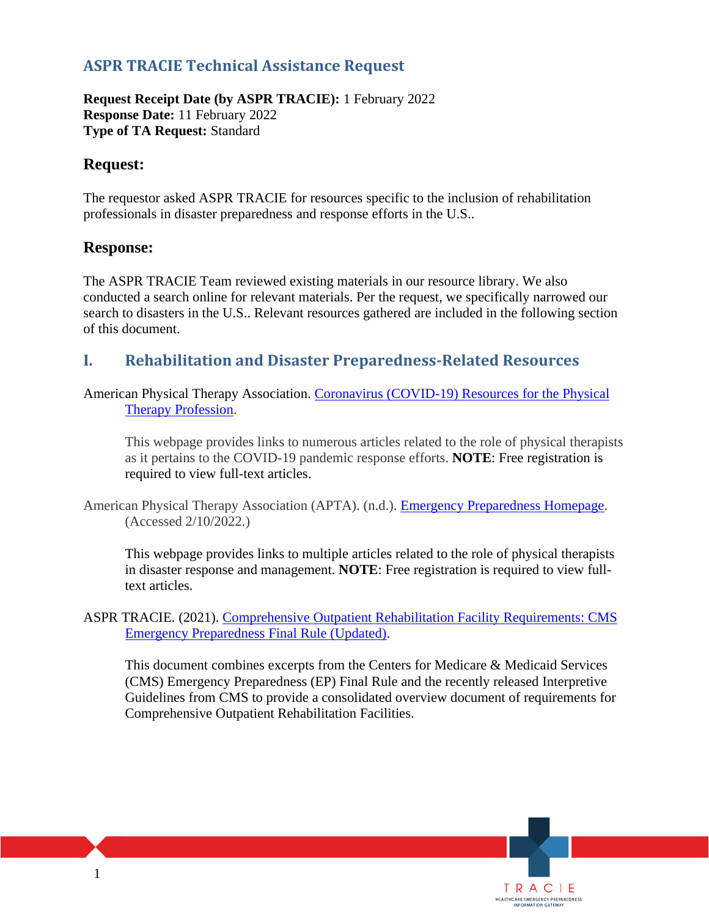# **ASPR TRACIE Technical Assistance Request**

**Request Receipt Date (by ASPR TRACIE):** 1 February 2022 **Response Date:** 11 February 2022 **Type of TA Request:** Standard

### **Request:**

The requestor asked ASPR TRACIE for resources specific to the inclusion of rehabilitation professionals in disaster preparedness and response efforts in the U.S..

#### **Response:**

The ASPR TRACIE Team reviewed existing materials in our resource library. We also conducted a search online for relevant materials. Per the request, we specifically narrowed our search to disasters in the U.S.. Relevant resources gathered are included in the following section of this document.

## **I. Rehabilitation and Disaster Preparedness-Related Resources**

American Physical Therapy Association. [Coronavirus \(COVID-19\) Resources for the Physical](https://www.apta.org/patient-care/public-health-population-care/coronavirus)  [Therapy Profession.](https://www.apta.org/patient-care/public-health-population-care/coronavirus)

This webpage provides links to numerous articles related to the role of physical therapists as it pertains to the COVID-19 pandemic response efforts. **NOTE**: Free registration is required to view full-text articles.

American Physical Therapy Association (APTA). (n.d.). [Emergency Preparedness Homepage.](https://www.apta.org/patient-care/public-health-population-care/emergency-preparedness) (Accessed 2/10/2022.)

This webpage provides links to multiple articles related to the role of physical therapists in disaster response and management. **NOTE**: Free registration is required to view fulltext articles.

ASPR TRACIE. (2021). [Comprehensive Outpatient Rehabilitation Facility Requirements: CMS](https://files.asprtracie.hhs.gov/documents/aspr-tracie-cms-ep-rule-corf-requirements.pdf)  [Emergency Preparedness Final Rule \(Updated\).](https://files.asprtracie.hhs.gov/documents/aspr-tracie-cms-ep-rule-corf-requirements.pdf)

This document combines excerpts from the Centers for Medicare & Medicaid Services (CMS) Emergency Preparedness (EP) Final Rule and the recently released Interpretive Guidelines from CMS to provide a consolidated overview document of requirements for Comprehensive Outpatient Rehabilitation Facilities.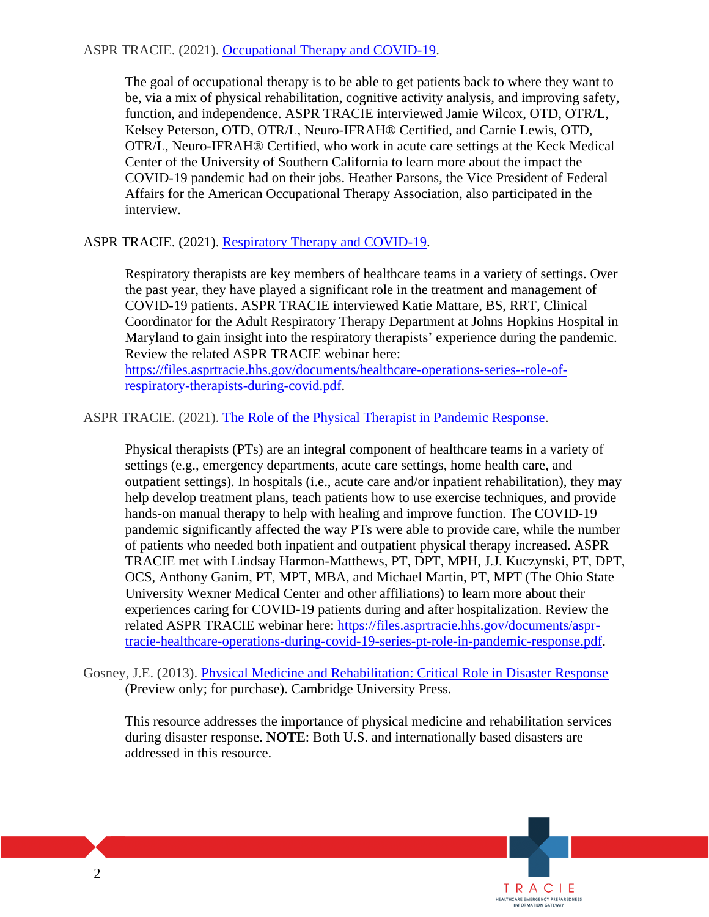#### ASPR TRACIE. (2021). [Occupational Therapy and COVID-19.](https://files.asprtracie.hhs.gov/documents/occupational-therapy-and-covid-19-508.pdf)

The goal of occupational therapy is to be able to get patients back to where they want to be, via a mix of physical rehabilitation, cognitive activity analysis, and improving safety, function, and independence. ASPR TRACIE interviewed Jamie Wilcox, OTD, OTR/L, Kelsey Peterson, OTD, OTR/L, Neuro-IFRAH® Certified, and Carnie Lewis, OTD, OTR/L, Neuro-IFRAH® Certified, who work in acute care settings at the Keck Medical Center of the University of Southern California to learn more about the impact the COVID-19 pandemic had on their jobs. Heather Parsons, the Vice President of Federal Affairs for the American Occupational Therapy Association, also participated in the interview.

#### ASPR TRACIE. (2021). [Respiratory Therapy and COVID-19.](https://files.asprtracie.hhs.gov/documents/respiratory-therapy-and-covid-19-508.pdf)

Respiratory therapists are key members of healthcare teams in a variety of settings. Over the past year, they have played a significant role in the treatment and management of COVID-19 patients. ASPR TRACIE interviewed Katie Mattare, BS, RRT, Clinical Coordinator for the Adult Respiratory Therapy Department at Johns Hopkins Hospital in Maryland to gain insight into the respiratory therapists' experience during the pandemic. Review the related ASPR TRACIE webinar here:

[https://files.asprtracie.hhs.gov/documents/healthcare-operations-series--role-of](https://files.asprtracie.hhs.gov/documents/healthcare-operations-series--role-of-respiratory-therapists-during-covid.pdf)[respiratory-therapists-during-covid.pdf.](https://files.asprtracie.hhs.gov/documents/healthcare-operations-series--role-of-respiratory-therapists-during-covid.pdf)

ASPR TRACIE. (2021). [The Role of the Physical Therapist in Pandemic Response.](https://files.asprtracie.hhs.gov/documents/the-role-of-the-physical-therapist-in-pandemic-response-508.pdf)

Physical therapists (PTs) are an integral component of healthcare teams in a variety of settings (e.g., emergency departments, acute care settings, home health care, and outpatient settings). In hospitals (i.e., acute care and/or inpatient rehabilitation), they may help develop treatment plans, teach patients how to use exercise techniques, and provide hands-on manual therapy to help with healing and improve function. The COVID-19 pandemic significantly affected the way PTs were able to provide care, while the number of patients who needed both inpatient and outpatient physical therapy increased. ASPR TRACIE met with Lindsay Harmon-Matthews, PT, DPT, MPH, J.J. Kuczynski, PT, DPT, OCS, Anthony Ganim, PT, MPT, MBA, and Michael Martin, PT, MPT (The Ohio State University Wexner Medical Center and other affiliations) to learn more about their experiences caring for COVID-19 patients during and after hospitalization. Review the related ASPR TRACIE webinar here: [https://files.asprtracie.hhs.gov/documents/aspr](https://files.asprtracie.hhs.gov/documents/aspr-tracie-healthcare-operations-during-covid-19-series-pt-role-in-pandemic-response.pdf)[tracie-healthcare-operations-during-covid-19-series-pt-role-in-pandemic-response.pdf.](https://files.asprtracie.hhs.gov/documents/aspr-tracie-healthcare-operations-during-covid-19-series-pt-role-in-pandemic-response.pdf)

This resource addresses the importance of physical medicine and rehabilitation services during disaster response. **NOTE**: Both U.S. and internationally based disasters are addressed in this resource.

Gosney, J.E. (2013). [Physical Medicine and Rehabilitation: Critical Role in Disaster Response](https://www.cambridge.org/core/journals/disaster-medicine-and-public-health-preparedness/article/abs/physical-medicine-and-rehabilitation-critical-role-in-disaster-response/342573D34D17E3414AE13F9B76002CC9) (Preview only; for purchase). Cambridge University Press.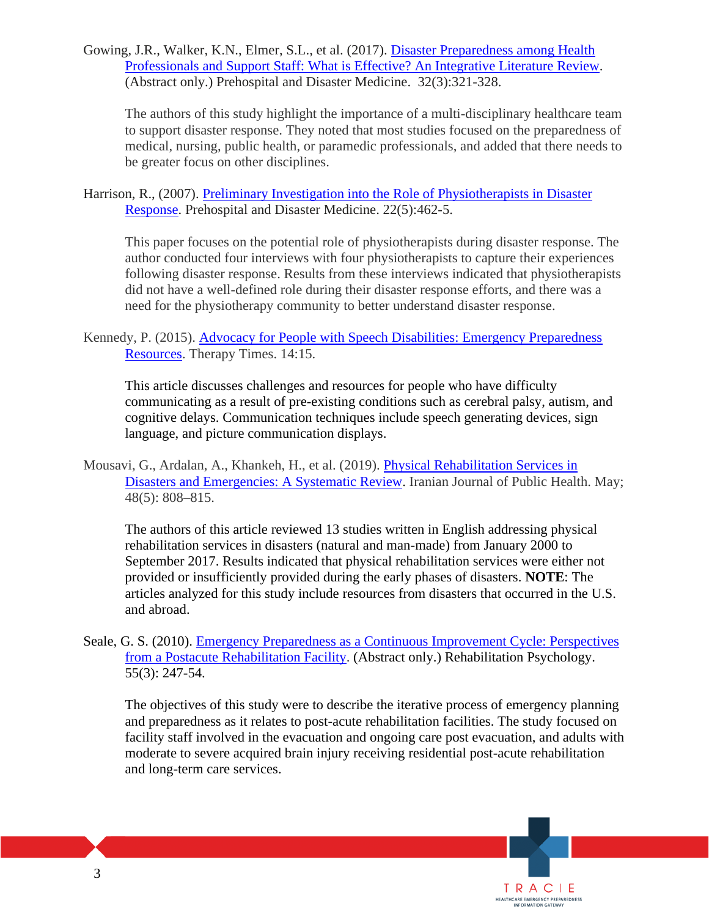Gowing, J.R., Walker, K.N., Elmer, S.L., et al. (2017). [Disaster Preparedness among Health](https://pubmed.ncbi.nlm.nih.gov/28300525/)  [Professionals and Support Staff: What is Effective? An Integrative Literature Review.](https://pubmed.ncbi.nlm.nih.gov/28300525/) (Abstract only.) Prehospital and Disaster Medicine. 32(3):321-328.

The authors of this study highlight the importance of a multi-disciplinary healthcare team to support disaster response. They noted that most studies focused on the preparedness of medical, nursing, public health, or paramedic professionals, and added that there needs to be greater focus on other disciplines.

Harrison, R., (2007). [Preliminary Investigation into the Role of Physiotherapists in Disaster](https://pubmed.ncbi.nlm.nih.gov/18087919/)  [Response.](https://pubmed.ncbi.nlm.nih.gov/18087919/) Prehospital and Disaster Medicine. 22(5):462-5.

This paper focuses on the potential role of physiotherapists during disaster response. The author conducted four interviews with four physiotherapists to capture their experiences following disaster response. Results from these interviews indicated that physiotherapists did not have a well-defined role during their disaster response efforts, and there was a need for the physiotherapy community to better understand disaster response.

Kennedy, P. (2015). [Advocacy for People with Speech Disabilities: Emergency Preparedness](http://www.patientprovidercommunication.org/pdf/news/45.pdf)  [Resources.](http://www.patientprovidercommunication.org/pdf/news/45.pdf) Therapy Times. 14:15.

This article discusses challenges and resources for people who have difficulty communicating as a result of pre-existing conditions such as cerebral palsy, autism, and cognitive delays. Communication techniques include speech generating devices, sign language, and picture communication displays.

Mousavi, G., Ardalan, A., Khankeh, H., et al. (2019). [Physical Rehabilitation Services in](https://www.ncbi.nlm.nih.gov/pmc/articles/PMC6717404/)  [Disasters and Emergencies: A Systematic Review.](https://www.ncbi.nlm.nih.gov/pmc/articles/PMC6717404/) Iranian Journal of Public Health. May; 48(5): 808–815.

The authors of this article reviewed 13 studies written in English addressing physical rehabilitation services in disasters (natural and man-made) from January 2000 to September 2017. Results indicated that physical rehabilitation services were either not provided or insufficiently provided during the early phases of disasters. **NOTE**: The articles analyzed for this study include resources from disasters that occurred in the U.S. and abroad.

Seale, G. S. (2010). [Emergency Preparedness as a Continuous Improvement Cycle: Perspectives](https://www.ncbi.nlm.nih.gov/pubmed/20804268)  [from a Postacute Rehabilitation Facility.](https://www.ncbi.nlm.nih.gov/pubmed/20804268) (Abstract only.) Rehabilitation Psychology. 55(3): 247-54.

The objectives of this study were to describe the iterative process of emergency planning and preparedness as it relates to post-acute rehabilitation facilities. The study focused on facility staff involved in the evacuation and ongoing care post evacuation, and adults with moderate to severe acquired brain injury receiving residential post-acute rehabilitation and long-term care services.